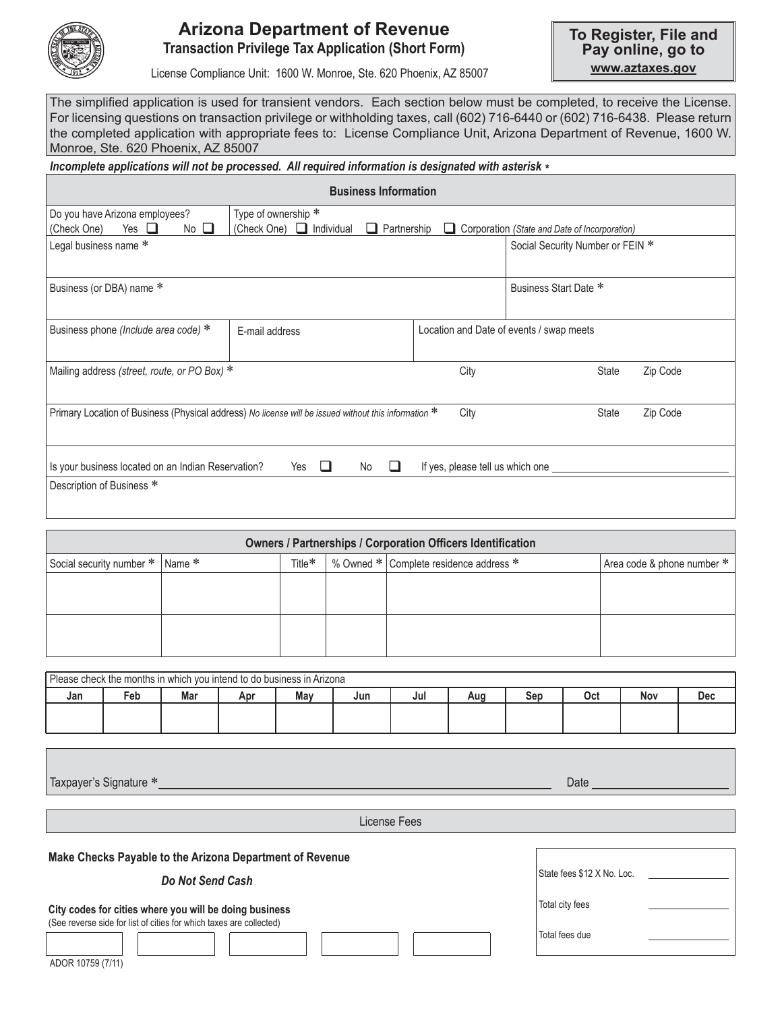

## **Arizona Department of Revenue Transaction Privilege Tax Application (Short Form)**

License Compliance Unit: 1600 W. Monroe, Ste. 620 Phoenix, AZ 85007

**www.aztaxes.gov To Register, File and Pay online, go to**

The simplified application is used for transient vendors. Each section below must be completed, to receive the License. For licensing questions on transaction privilege or withholding taxes, call (602) 716-6440 or (602) 716-6438. Please return the completed application with appropriate fees to: License Compliance Unit, Arizona Department of Revenue, 1600 W. Monroe, Ste. 620 Phoenix, AZ 85007

#### *Incomplete applications will not be processed. All required information is designated with asterisk \**

| <b>Business Information</b>                                                                                                       |                                                                     |                                          |                                               |  |  |  |  |  |  |  |  |  |  |
|-----------------------------------------------------------------------------------------------------------------------------------|---------------------------------------------------------------------|------------------------------------------|-----------------------------------------------|--|--|--|--|--|--|--|--|--|--|
| Do you have Arizona employees?<br>No $\square$<br>Yes $\Box$<br>(Check One)                                                       | Type of ownership *<br>(Check One) □ Individual<br>Partnership<br>ப | ப                                        | Corporation (State and Date of Incorporation) |  |  |  |  |  |  |  |  |  |  |
| Legal business name *                                                                                                             | Social Security Number or FEIN *                                    |                                          |                                               |  |  |  |  |  |  |  |  |  |  |
| Business (or DBA) name *                                                                                                          | Business Start Date *                                               |                                          |                                               |  |  |  |  |  |  |  |  |  |  |
| Business phone (Include area code) $*$                                                                                            | E-mail address                                                      | Location and Date of events / swap meets |                                               |  |  |  |  |  |  |  |  |  |  |
| Mailing address (street, route, or PO Box) *                                                                                      |                                                                     | City                                     | Zip Code<br>State                             |  |  |  |  |  |  |  |  |  |  |
| Primary Location of Business (Physical address) No license will be issued without this information *<br>City<br>Zip Code<br>State |                                                                     |                                          |                                               |  |  |  |  |  |  |  |  |  |  |
| Is your business located on an Indian Reservation?                                                                                | No<br>Yes<br>$\sqcup$                                               | If yes, please tell us which one ____    |                                               |  |  |  |  |  |  |  |  |  |  |
| Description of Business *                                                                                                         |                                                                     |                                          |                                               |  |  |  |  |  |  |  |  |  |  |

| <b>Owners / Partnerships / Corporation Officers Identification</b> |        |           |  |                                        |                            |  |  |  |  |  |  |  |  |
|--------------------------------------------------------------------|--------|-----------|--|----------------------------------------|----------------------------|--|--|--|--|--|--|--|--|
| Social security number *                                           | Name * | Title $*$ |  | % Owned * Complete residence address * | Area code & phone number * |  |  |  |  |  |  |  |  |
|                                                                    |        |           |  |                                        |                            |  |  |  |  |  |  |  |  |
|                                                                    |        |           |  |                                        |                            |  |  |  |  |  |  |  |  |
|                                                                    |        |           |  |                                        |                            |  |  |  |  |  |  |  |  |
|                                                                    |        |           |  |                                        |                            |  |  |  |  |  |  |  |  |

| Please check the months in which you intend to do business in Arizona |     |     |     |            |  |     |     |     |     |     |     |  |
|-----------------------------------------------------------------------|-----|-----|-----|------------|--|-----|-----|-----|-----|-----|-----|--|
| Jan                                                                   | Feb | Mar | Apr | Mav<br>Jun |  | Jul | Aug | Sep | Oct | Nov | Dec |  |
|                                                                       |     |     |     |            |  |     |     |     |     |     |     |  |
|                                                                       |     |     |     |            |  |     |     |     |     |     |     |  |

Taxpayer's Signature \* Date

License Fees

**Make Checks Payable to the Arizona Department of Revenue**

*Do Not Send Cash*

**City codes for cities where you will be doing business** (See reverse side for list of cities for which taxes are collected)

ADOR 10759 (7/11)

State fees \$12 X No. Loc. Total city fees Total fees due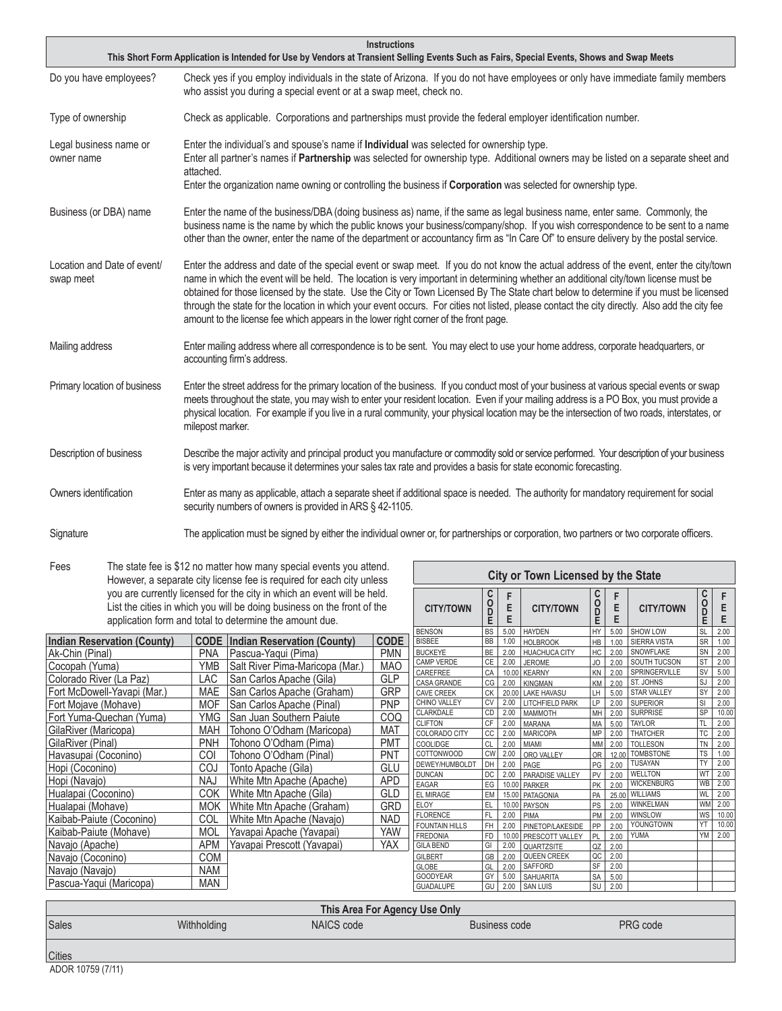|                                          | <b>Instructions</b><br>This Short Form Application is Intended for Use by Vendors at Transient Selling Events Such as Fairs, Special Events, Shows and Swap Meets                                                                                                                                                                                                                                                                                                                                                                                                                                                                                              |
|------------------------------------------|----------------------------------------------------------------------------------------------------------------------------------------------------------------------------------------------------------------------------------------------------------------------------------------------------------------------------------------------------------------------------------------------------------------------------------------------------------------------------------------------------------------------------------------------------------------------------------------------------------------------------------------------------------------|
| Do you have employees?                   | Check yes if you employ individuals in the state of Arizona. If you do not have employees or only have immediate family members<br>who assist you during a special event or at a swap meet, check no.                                                                                                                                                                                                                                                                                                                                                                                                                                                          |
| Type of ownership                        | Check as applicable. Corporations and partnerships must provide the federal employer identification number.                                                                                                                                                                                                                                                                                                                                                                                                                                                                                                                                                    |
| Legal business name or<br>owner name     | Enter the individual's and spouse's name if Individual was selected for ownership type.<br>Enter all partner's names if <b>Partnership</b> was selected for ownership type. Additional owners may be listed on a separate sheet and<br>attached.<br>Enter the organization name owning or controlling the business if Corporation was selected for ownership type.                                                                                                                                                                                                                                                                                             |
| Business (or DBA) name                   | Enter the name of the business/DBA (doing business as) name, if the same as legal business name, enter same. Commonly, the<br>business name is the name by which the public knows your business/company/shop. If you wish correspondence to be sent to a name<br>other than the owner, enter the name of the department or accountancy firm as "In Care Of" to ensure delivery by the postal service.                                                                                                                                                                                                                                                          |
| Location and Date of event/<br>swap meet | Enter the address and date of the special event or swap meet. If you do not know the actual address of the event, enter the city/town<br>name in which the event will be held. The location is very important in determining whether an additional city/town license must be<br>obtained for those licensed by the state. Use the City or Town Licensed By The State chart below to determine if you must be licensed<br>through the state for the location in which your event occurs. For cities not listed, please contact the city directly. Also add the city fee<br>amount to the license fee which appears in the lower right corner of the front page. |
| Mailing address                          | Enter mailing address where all correspondence is to be sent. You may elect to use your home address, corporate headquarters, or<br>accounting firm's address.                                                                                                                                                                                                                                                                                                                                                                                                                                                                                                 |
| Primary location of business             | Enter the street address for the primary location of the business. If you conduct most of your business at various special events or swap<br>meets throughout the state, you may wish to enter your resident location. Even if your mailing address is a PO Box, you must provide a<br>physical location. For example if you live in a rural community, your physical location may be the intersection of two roads, interstates, or<br>milepost marker.                                                                                                                                                                                                       |
| Description of business                  | Describe the major activity and principal product you manufacture or commodity sold or service performed. Your description of your business<br>is very important because it determines your sales tax rate and provides a basis for state economic forecasting.                                                                                                                                                                                                                                                                                                                                                                                                |
| Owners identification                    | Enter as many as applicable, attach a separate sheet if additional space is needed. The authority for mandatory requirement for social<br>security numbers of owners is provided in ARS § 42-1105.                                                                                                                                                                                                                                                                                                                                                                                                                                                             |
| Signature                                | The application must be signed by either the individual owner or, for partnerships or corporation, two partners or two corporate officers.                                                                                                                                                                                                                                                                                                                                                                                                                                                                                                                     |

**City or Town Licensed by the State**

Fees The state fee is \$12 no matter how many special events you attend. However, a separate city license fee is required for each city unless you are currently licensed for the city in which an event will be held. List the cities in which you will be doing business on the front of the application form and total to determine the amount due.

|                                    |            | you are currently licensed for the city in which an event will be held.<br>List the cities in which you will be doing business on the front of the<br>application form and total to determine the amount due. | <b>CITY/TOWN</b> | oo<br>D                       | Е         | <b>CITY/TOWN</b> | C<br>Ŏ<br>D<br>E                        | E<br>F         | <b>CITY/TOWN</b> | C<br>0<br>D                      | Е                      |              |
|------------------------------------|------------|---------------------------------------------------------------------------------------------------------------------------------------------------------------------------------------------------------------|------------------|-------------------------------|-----------|------------------|-----------------------------------------|----------------|------------------|----------------------------------|------------------------|--------------|
|                                    |            |                                                                                                                                                                                                               | <b>BENSON</b>    | <b>BS</b>                     | 5.00      | <b>HAYDEN</b>    | HY                                      | 5.00           | SHOW LOW         | SL                               | 2.00                   |              |
| <b>Indian Reservation (County)</b> |            | <b>CODE</b>   Indian Reservation (County)                                                                                                                                                                     | <b>CODE</b>      | <b>BISBEE</b>                 | BB        | 1.00             | <b>HOLBROOK</b>                         | HB             | 1.00             | <b>SIERRA VISTA</b>              | <b>SR</b>              | 1.00         |
| Ak-Chin (Pinal)                    | <b>PNA</b> | Pascua-Yaqui (Pima)                                                                                                                                                                                           | <b>PMN</b>       | <b>BUCKEYE</b>                | <b>BE</b> | 2.00             | <b>HUACHUCA CITY</b>                    | НC             | 2.00             | <b>SNOWFLAKE</b>                 | SN                     | 2.00         |
| Cocopah (Yuma)                     | <b>YMB</b> | Salt River Pima-Maricopa (Mar.)                                                                                                                                                                               | <b>MAO</b>       | <b>CAMP VERDE</b><br>CAREFREE | <b>CE</b> | 2.00             | <b>JEROME</b>                           | JO             | 2.00             | SOUTH TUCSON<br>SPRINGERVILLE    | <b>ST</b><br>SV        | 2.00<br>5.00 |
| Colorado River (La Paz)            | LAC        | San Carlos Apache (Gila)                                                                                                                                                                                      | <b>GLP</b>       | <b>CASA GRANDE</b>            | CA<br>CG  | 10.00<br>2.00    | <b>KEARNY</b><br><b>KINGMAN</b>         | KN             | 2.00<br>2.00     | ST. JOHNS                        | SJ                     | 2.00         |
| Fort McDowell-Yavapi (Mar.)        | <b>MAE</b> | San Carlos Apache (Graham)                                                                                                                                                                                    | <b>GRP</b>       | <b>CAVE CREEK</b>             | <b>CK</b> | 20.00            | <b>LAKE HAVASU</b>                      | LH             | 5.00             | <b>STAR VALLEY</b>               | SY                     | 2.00         |
| Fort Mojave (Mohave)               | <b>MOF</b> | San Carlos Apache (Pinal)                                                                                                                                                                                     | <b>PNP</b>       | <b>CHINO VALLEY</b>           | <b>CV</b> | 2.00             | <b>LITCHFIELD PARK</b>                  | LP             | 2.00             | <b>SUPERIOR</b>                  | SI                     | 2.00         |
| Fort Yuma-Quechan (Yuma)           | <b>YMG</b> | l San Juan Southern Paiute                                                                                                                                                                                    | COQ              | <b>CLARKDALE</b>              | CD        | 2.00             | <b>MAMMOTH</b>                          | MH             | 2.00             | <b>SURPRISE</b>                  | SP                     | 10.00        |
|                                    |            |                                                                                                                                                                                                               |                  | <b>CLIFTON</b>                | CF        | 2.00             | <b>MARANA</b>                           | MA             | 5.00             | <b>TAYLOR</b>                    | TL                     | 2.00         |
| GilaRiver (Maricopa)               | <b>MAH</b> | Tohono O'Odham (Maricopa)                                                                                                                                                                                     | <b>MAT</b>       | <b>COLORADO CITY</b>          | CC        | 2.00             | <b>MARICOPA</b>                         | MP             | 2.00             | <b>THATCHER</b>                  | <b>TC</b>              | 2.00         |
| GilaRiver (Pinal)                  | <b>PNH</b> | Tohono O'Odham (Pima)                                                                                                                                                                                         | <b>PMT</b>       | COOLIDGE                      | <b>CL</b> | 2.00             | <b>MIAMI</b>                            | МM             | 2.00             | <b>TOLLESON</b>                  | TN                     | 2.00         |
| Havasupai (Coconino)               | COI        | Tohono O'Odham (Pinal)                                                                                                                                                                                        | <b>PNT</b>       | <b>COTTONWOOD</b>             | <b>CW</b> | 2.00             | ORO VALLEY                              | 0 <sub>R</sub> | 12.00            | <b>TOMBSTONE</b>                 | <b>TS</b>              | 1.00         |
| Hopi (Coconino)                    | COJ        | Tonto Apache (Gila)                                                                                                                                                                                           | <b>GLU</b>       | DEWEY/HUMBOLDT                | DH        | 2.00             | PAGE                                    | PG             | 2.00             | <b>TUSAYAN</b><br><b>WELLTON</b> | <b>TY</b><br><b>WT</b> | 2.00<br>2.00 |
| Hopi (Navajo)                      | <b>NAJ</b> | White Mtn Apache (Apache)                                                                                                                                                                                     | <b>APD</b>       | <b>DUNCAN</b><br><b>EAGAR</b> | DC<br>EG  | 2.00<br>10.00    | <b>PARADISE VALLEY</b><br><b>PARKER</b> | PV<br>PK       | 2.00<br>2.00     | <b>WICKENBURG</b>                | <b>WB</b>              | 2.00         |
| Hualapai (Coconino)                | COK        | White Mtn Apache (Gila)                                                                                                                                                                                       | <b>GLD</b>       | <b>EL MIRAGE</b>              | EM        |                  | 15.00 PATAGONIA                         | PA             | 25.00            | <b>WILLIAMS</b>                  | WI                     | 2.00         |
| Hualapai (Mohave)                  | <b>MOK</b> | White Mtn Apache (Graham)                                                                                                                                                                                     | <b>GRD</b>       | <b>ELOY</b>                   | EL        | 10.00            | <b>PAYSON</b>                           | PS             | 2.00             | <b>WINKELMAN</b>                 | <b>WM</b>              | 2.00         |
| Kaibab-Paiute (Coconino)           | <b>COL</b> | White Mtn Apache (Navajo)                                                                                                                                                                                     | <b>NAD</b>       | <b>FLORENCE</b>               | FL        | 2.00             | PIMA                                    | <b>PM</b>      | 2.00             | <b>WINSLOW</b>                   | <b>WS</b>              | 10.00        |
|                                    |            |                                                                                                                                                                                                               |                  | <b>FOUNTAIN HILLS</b>         | FH.       | 2.00             | PINETOP/LAKESIDE                        | PP             | 2.00             | YOUNGTOWN                        | ΥT                     | 10.00        |
| Kaibab-Paiute (Mohave)             | <b>MOL</b> | Yavapai Apache (Yavapai)                                                                                                                                                                                      | YAW              | <b>FREDONIA</b>               | FD        | 10.00            | PRESCOTT VALLEY                         | PL             | 2.00             | <b>YUMA</b>                      | YM                     | 2.00         |
| Navajo (Apache)                    | <b>APM</b> | Yavapai Prescott (Yavapai)                                                                                                                                                                                    | YAX              | <b>GILA BEND</b>              | GI        | 2.00             | <b>QUARTZSITE</b>                       | QZ             | 2.00             |                                  |                        |              |
| Navajo (Coconino)                  | <b>COM</b> |                                                                                                                                                                                                               |                  | <b>GILBERT</b>                | <b>GB</b> | 2.00             | QUEEN CREEK                             | QC             | 2.00             |                                  |                        |              |
| Navajo (Navajo)                    | <b>NAM</b> |                                                                                                                                                                                                               |                  | <b>GLOBE</b>                  | GL        | 2.00             | <b>SAFFORD</b>                          | SF             | 2.00             |                                  |                        |              |
| Pascua-Yaqui (Maricopa)            | <b>MAN</b> |                                                                                                                                                                                                               | <b>GOODYEAR</b>  | GY                            | 5.00      | <b>SAHUARITA</b> | <b>SA</b>                               | 5.00           |                  |                                  |                        |              |
|                                    |            |                                                                                                                                                                                                               |                  | <b>GUADALUPE</b>              | GU        | 2.00             | <b>SAN LUIS</b>                         | SU             | 2.00             |                                  |                        |              |

| This Area For Agency Use Only |             |            |               |          |  |  |  |  |  |  |
|-------------------------------|-------------|------------|---------------|----------|--|--|--|--|--|--|
| Sales                         | Withholding | NAICS code | Business code | PRG code |  |  |  |  |  |  |
|                               |             |            |               |          |  |  |  |  |  |  |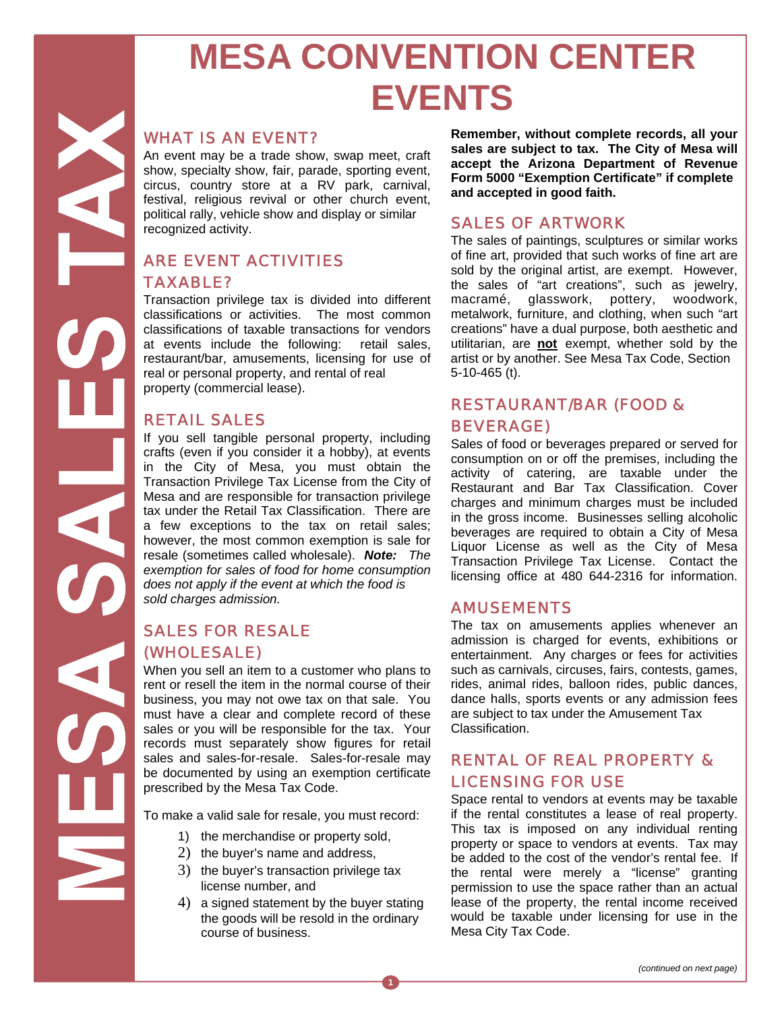# **MESA CONVENTION CENTER EVENTS**

#### *WHAT IS AN EVENT?*

An event may be a trade show, swap meet, craft show, specialty show, fair, parade, sporting event, circus, country store at a RV park, carnival, festival, religious revival or other church event, political rally, vehicle show and display or similar recognized activity.

# *ARE EVENT ACTIVITIES TAXABLE?*

Transaction privilege tax is divided into different classifications or activities. The most common classifications of taxable transactions for vendors at events include the following: retail sales, restaurant/bar, amusements, licensing for use of real or personal property, and rental of real property (commercial lease).

## *RETAIL SALES*

If you sell tangible personal property, including crafts (even if you consider it a hobby), at events in the City of Mesa, you must obtain the Transaction Privilege Tax License from the City of Mesa and are responsible for transaction privilege tax under the Retail Tax Classification. There are a few exceptions to the tax on retail sales; however, the most common exemption is sale for resale (sometimes called wholesale). *Note: The exemption for sales of food for home consumption does not apply if the event at which the food is sold charges admission.* 

# *SALES FOR RESALE (WHOLESALE)*

When you sell an item to a customer who plans to rent or resell the item in the normal course of their business, you may not owe tax on that sale. You must have a clear and complete record of these sales or you will be responsible for the tax. Your records must separately show figures for retail sales and sales-for-resale. Sales-for-resale may be documented by using an exemption certificate prescribed by the Mesa Tax Code.

To make a valid sale for resale, you must record:

- 1) the merchandise or property sold,
- 2) the buyer's name and address,
- 3) the buyer's transaction privilege tax license number, and
- 4) a signed statement by the buyer stating the goods will be resold in the ordinary course of business.

**Remember, without complete records, all your sales are subject to tax. The City of Mesa will accept the Arizona Department of Revenue Form 5000 "Exemption Certificate" if complete and accepted in good faith.** 

#### *SALES OF ARTWORK*

The sales of paintings, sculptures or similar works of fine art, provided that such works of fine art are sold by the original artist, are exempt. However, the sales of "art creations", such as jewelry, macramé, glasswork, pottery, woodwork, metalwork, furniture, and clothing, when such "art creations" have a dual purpose, both aesthetic and utilitarian, are **not** exempt, whether sold by the artist or by another. See Mesa Tax Code, Section 5-10-465 (t).

# *RESTAURANT/BAR (FOOD & BEVERAGE)*

Sales of food or beverages prepared or served for consumption on or off the premises, including the activity of catering, are taxable under the Restaurant and Bar Tax Classification. Cover charges and minimum charges must be included in the gross income. Businesses selling alcoholic beverages are required to obtain a City of Mesa Liquor License as well as the City of Mesa Transaction Privilege Tax License. Contact the licensing office at 480 644-2316 for information.

#### *AMUSEMENTS*

The tax on amusements applies whenever an admission is charged for events, exhibitions or entertainment. Any charges or fees for activities such as carnivals, circuses, fairs, contests, games, rides, animal rides, balloon rides, public dances, dance halls, sports events or any admission fees are subject to tax under the Amusement Tax Classification.

## *RENTAL OF REAL PROPERTY & LICENSING FOR USE*

Space rental to vendors at events may be taxable if the rental constitutes a lease of real property. This tax is imposed on any individual renting property or space to vendors at events. Tax may be added to the cost of the vendor's rental fee. If the rental were merely a "license" granting permission to use the space rather than an actual lease of the property, the rental income received would be taxable under licensing for use in the Mesa City Tax Code.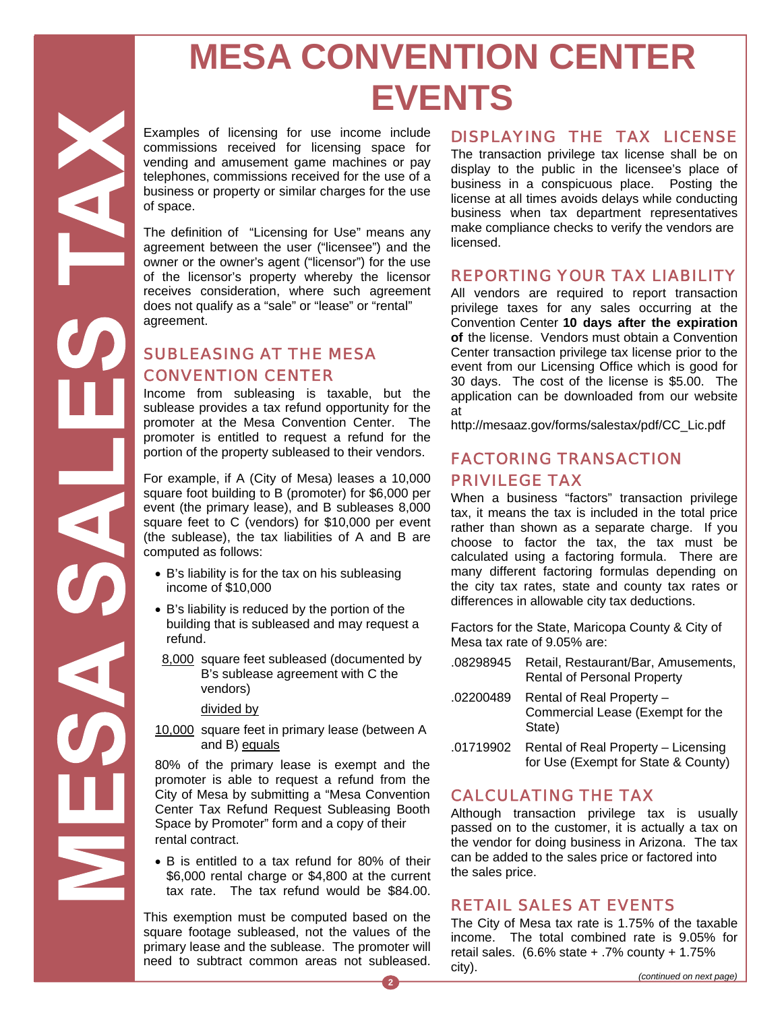# **MESA CONVENTION CENTER EVENTS**

Examples of licensing for use income include commissions received for licensing space for vending and amusement game machines or pay telephones, commissions received for the use of a business or property or similar charges for the use of space.

The definition of "Licensing for Use" means any agreement between the user ("licensee") and the owner or the owner's agent ("licensor") for the use of the licensor's property whereby the licensor receives consideration, where such agreement does not qualify as a "sale" or "lease" or "rental" agreement.

# *SUBLEASING AT THE MESA CONVENTION CENTER*

Income from subleasing is taxable, but the sublease provides a tax refund opportunity for the promoter at the Mesa Convention Center. The promoter is entitled to request a refund for the portion of the property subleased to their vendors.

For example, if A (City of Mesa) leases a 10,000 square foot building to B (promoter) for \$6,000 per event (the primary lease), and B subleases 8,000 square feet to C (vendors) for \$10,000 per event (the sublease), the tax liabilities of A and B are computed as follows:

- B's liability is for the tax on his subleasing income of \$10,000
- B's liability is reduced by the portion of the building that is subleased and may request a refund.
- 8,000 square feet subleased (documented by B's sublease agreement with C the vendors)

divided by

10,000 square feet in primary lease (between A and B) equals

80% of the primary lease is exempt and the promoter is able to request a refund from the City of Mesa by submitting a "Mesa Convention Center Tax Refund Request Subleasing Booth Space by Promoter" form and a copy of their rental contract.

 B is entitled to a tax refund for 80% of their \$6,000 rental charge or \$4,800 at the current tax rate. The tax refund would be \$84.00.

This exemption must be computed based on the square footage subleased, not the values of the primary lease and the sublease. The promoter will need to subtract common areas not subleased.

## *DISPLAYING THE TAX LICENSE*

The transaction privilege tax license shall be on display to the public in the licensee's place of business in a conspicuous place. Posting the license at all times avoids delays while conducting business when tax department representatives make compliance checks to verify the vendors are licensed.

## *REPORTING YOUR TAX LIABILITY*

All vendors are required to report transaction privilege taxes for any sales occurring at the Convention Center **10 days after the expiration of** the license. Vendors must obtain a Convention Center transaction privilege tax license prior to the event from our Licensing Office which is good for 30 days. The cost of the license is \$5.00. The application can be downloaded from our website at

http://mesaaz.gov/forms/salestax/pdf/CC\_Lic.pdf

#### *FACTORING TRANSACTION PRIVILEGE TAX*

When a business "factors" transaction privilege tax, it means the tax is included in the total price rather than shown as a separate charge. If you choose to factor the tax, the tax must be calculated using a factoring formula. There are many different factoring formulas depending on the city tax rates, state and county tax rates or differences in allowable city tax deductions.

Factors for the State, Maricopa County & City of Mesa tax rate of 9.05% are:

- .08298945 Retail, Restaurant/Bar, Amusements, Rental of Personal Property
- .02200489 Rental of Real Property Commercial Lease (Exempt for the State)
- .01719902 Rental of Real Property Licensing for Use (Exempt for State & County)

## *CALCULATING THE TAX*

Although transaction privilege tax is usually passed on to the customer, it is actually a tax on the vendor for doing business in Arizona. The tax can be added to the sales price or factored into the sales price.

## *RETAIL SALES AT EVENTS*

The City of Mesa tax rate is 1.75% of the taxable income. The total combined rate is 9.05% for retail sales.  $(6.6\% \text{ state} + .7\% \text{ count}) + 1.75\%$ city).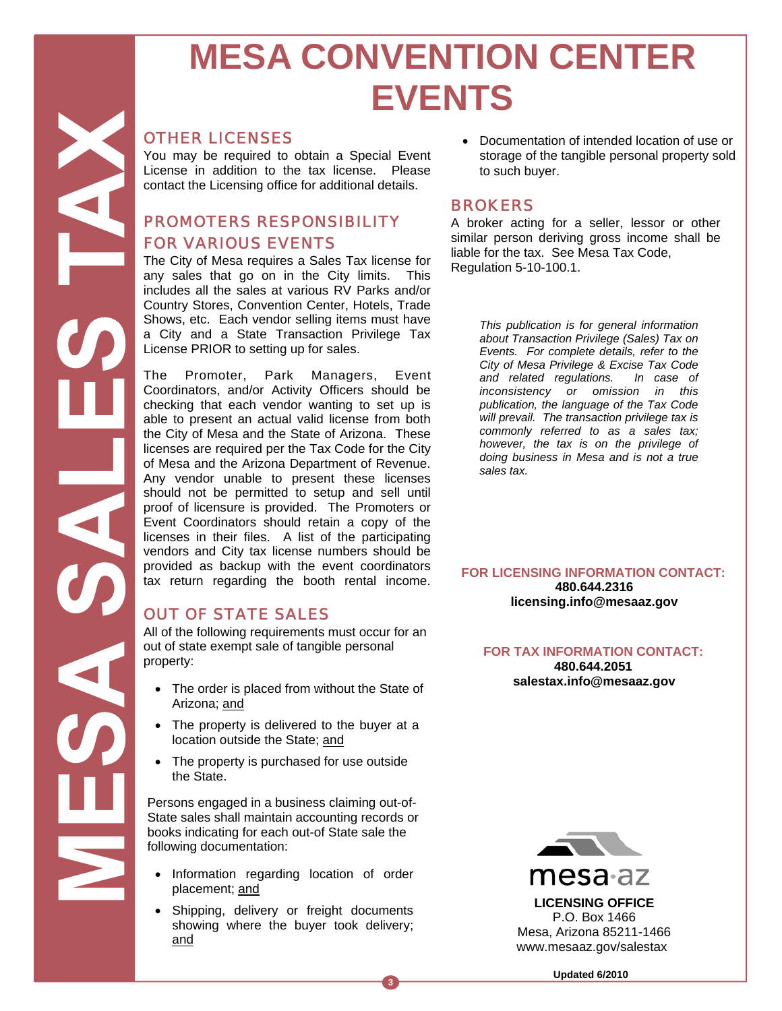# **MESA CONVENTION CENTER EVENTS**

#### *OTHER LICENSES*

You may be required to obtain a Special Event License in addition to the tax license. Please contact the Licensing office for additional details.

# *PROMOTERS RESPONSIBILITY FOR VARIOUS EVENTS*

The City of Mesa requires a Sales Tax license for any sales that go on in the City limits. This includes all the sales at various RV Parks and/or Country Stores, Convention Center, Hotels, Trade Shows, etc. Each vendor selling items must have a City and a State Transaction Privilege Tax License PRIOR to setting up for sales.

The Promoter, Park Managers, Event Coordinators, and/or Activity Officers should be checking that each vendor wanting to set up is able to present an actual valid license from both the City of Mesa and the State of Arizona. These licenses are required per the Tax Code for the City of Mesa and the Arizona Department of Revenue. Any vendor unable to present these licenses should not be permitted to setup and sell until proof of licensure is provided. The Promoters or Event Coordinators should retain a copy of the licenses in their files. A list of the participating vendors and City tax license numbers should be provided as backup with the event coordinators tax return regarding the booth rental income.

## *OUT OF STATE SALES*

All of the following requirements must occur for an out of state exempt sale of tangible personal property:

- The order is placed from without the State of Arizona; and
- The property is delivered to the buyer at a location outside the State; and
- The property is purchased for use outside the State.

Persons engaged in a business claiming out-of-State sales shall maintain accounting records or books indicating for each out-of State sale the following documentation:

- Information regarding location of order placement; and
- Shipping, delivery or freight documents showing where the buyer took delivery; and

**3** 

 Documentation of intended location of use or storage of the tangible personal property sold to such buyer.

#### *BROKERS*

A broker acting for a seller, lessor or other similar person deriving gross income shall be liable for the tax. See Mesa Tax Code, Regulation 5-10-100.1.

> *This publication is for general information about Transaction Privilege (Sales) Tax on Events. For complete details, refer to the City of Mesa Privilege & Excise Tax Code and related regulations. In case of inconsistency or omission in this publication, the language of the Tax Code will prevail. The transaction privilege tax is commonly referred to as a sales tax; however, the tax is on the privilege of doing business in Mesa and is not a true sales tax.*

#### **FOR LICENSING INFORMATION CONTACT: 480.644.2316**

**licensing.info@mesaaz.gov** 

#### **FOR TAX INFORMATION CONTACT: 480.644.2051 salestax.info@mesaaz.gov**



mesa<sub>az</sub>

**LICENSING OFFICE**  P.O. Box 1466 Mesa, Arizona 85211-1466 www.mesaaz.gov/salestax

**Updated 6/2010**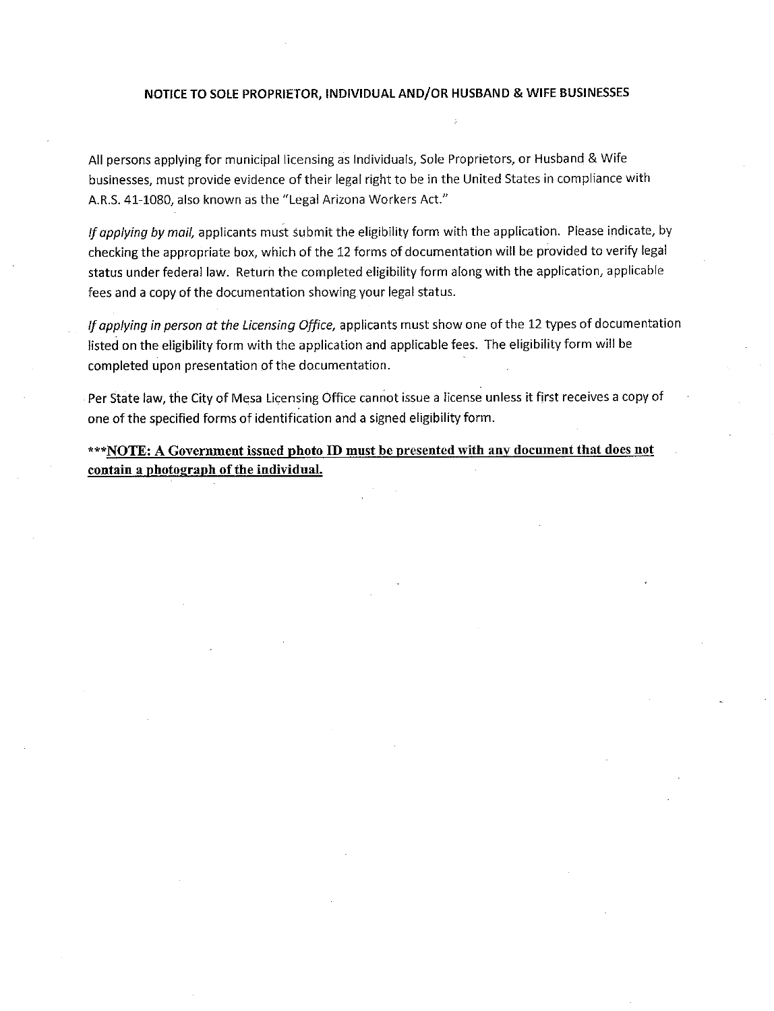#### NOTICE TO SOLE PROPRIETOR, INDIVIDUAL AND/OR HUSBAND & WIFE BUSINESSES

All persons applying for municipal licensing as Individuals, Sole Proprietors, or Husband & Wife businesses, must provide evidence of their legal right to be in the United States in compliance with A.R.S. 41-1080, also known as the "Legal Arizona Workers Act."

If applying by mail, applicants must submit the eligibility form with the application. Please indicate, by checking the appropriate box, which of the 12 forms of documentation will be provided to verify legal status under federal law. Return the completed eligibility form along with the application, applicable fees and a copy of the documentation showing your legal status.

If applying in person at the Licensing Office, applicants must show one of the 12 types of documentation listed on the eligibility form with the application and applicable fees. The eligibility form will be completed upon presentation of the documentation.

Per State law, the City of Mesa Licensing Office cannot issue a license unless it first receives a copy of one of the specified forms of identification and a signed eligibility form.

\*\*\*NOTE: A Government issued photo ID must be presented with any document that does not contain a photograph of the individual.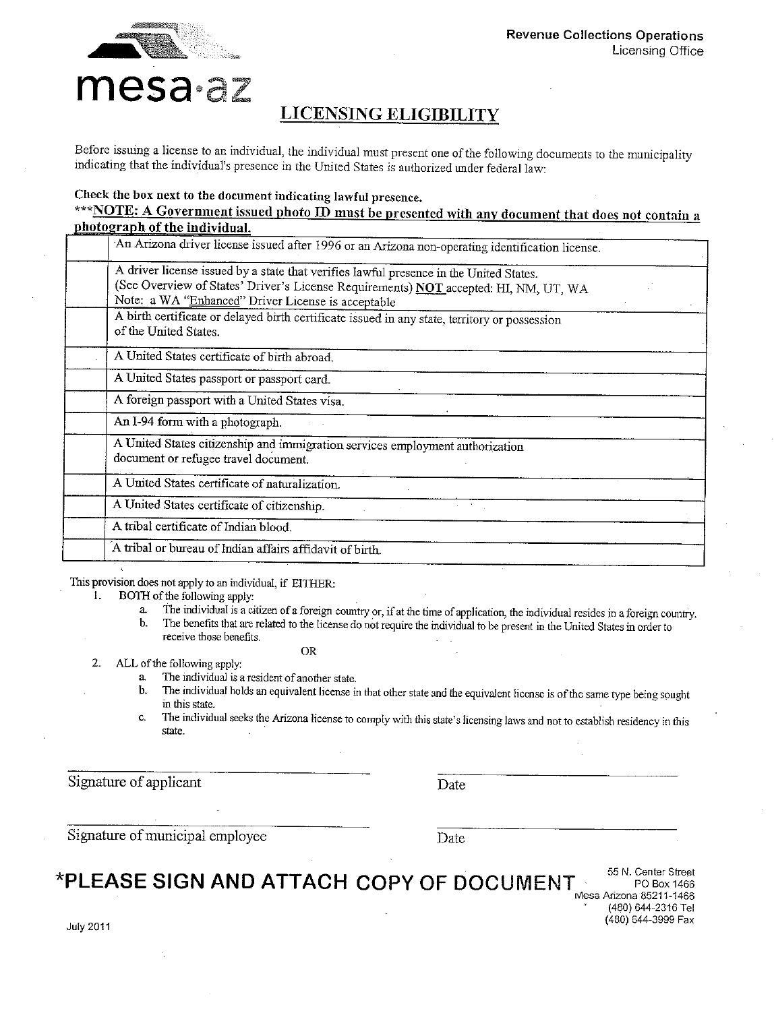

# **LICENSING ELIGIBILITY**

Before issuing a license to an individual, the individual must present one of the following documents to the municipality indicating that the individual's presence in the United States is authorized under federal law:

#### Check the box next to the document indicating lawful presence.

#### \*\*\*NOTE: A Government issued photo ID must be presented with any document that does not contain a photograph of the individual.

| An Arizona driver license issued after 1996 or an Arizona non-operating identification license. |
|-------------------------------------------------------------------------------------------------|
| A driver license issued by a state that verifies lawful presence in the United States.          |
| (See Overview of States' Driver's License Requirements) NOT accepted: HI, NM, UT, WA            |
| Note: a WA "Enhanced" Driver License is acceptable                                              |
| A birth certificate or delayed birth certificate issued in any state, territory or possession   |
| of the United States.                                                                           |
| A United States certificate of birth abroad.                                                    |
|                                                                                                 |
| A United States passport or passport card.                                                      |
| A foreign passport with a United States visa.                                                   |
| An I-94 form with a photograph.                                                                 |
| A United States citizenship and immigration services employment authorization                   |
| document or refugee travel document.                                                            |
| A United States certificate of naturalization.                                                  |
| A United States certificate of citizenship.                                                     |
| A tribal certificate of Indian blood.                                                           |
| A tribal or bureau of Indian affairs affidavit of birth.                                        |

This provision does not apply to an individual, if EITHER:

- BOTH of the following apply: 1.
	- The individual is a citizen of a foreign country or, if at the time of application, the individual resides in a foreign country. a.  $\mathbf{b}$ .
		- The benefits that are related to the license do not require the individual to be present in the United States in order to receive those benefits.
			- **OR**
- $2.$ ALL of the following apply:
	- a. The individual is a resident of another state.
	- The individual holds an equivalent license in that other state and the equivalent license is of the same type being sought Ъ. in this state.
	- The individual seeks the Arizona license to comply with this state's licensing laws and not to establish residency in this c. state.

Signature of applicant

Date

Signature of municipal employee

Date

# \*PLEASE SIGN AND ATTACH COPY OF DOCUMENT

55 N. Center Street PO Box 1466 Mesa Arizona 85211-1466 (480) 644-2316 Tel (480) 644-3999 Fax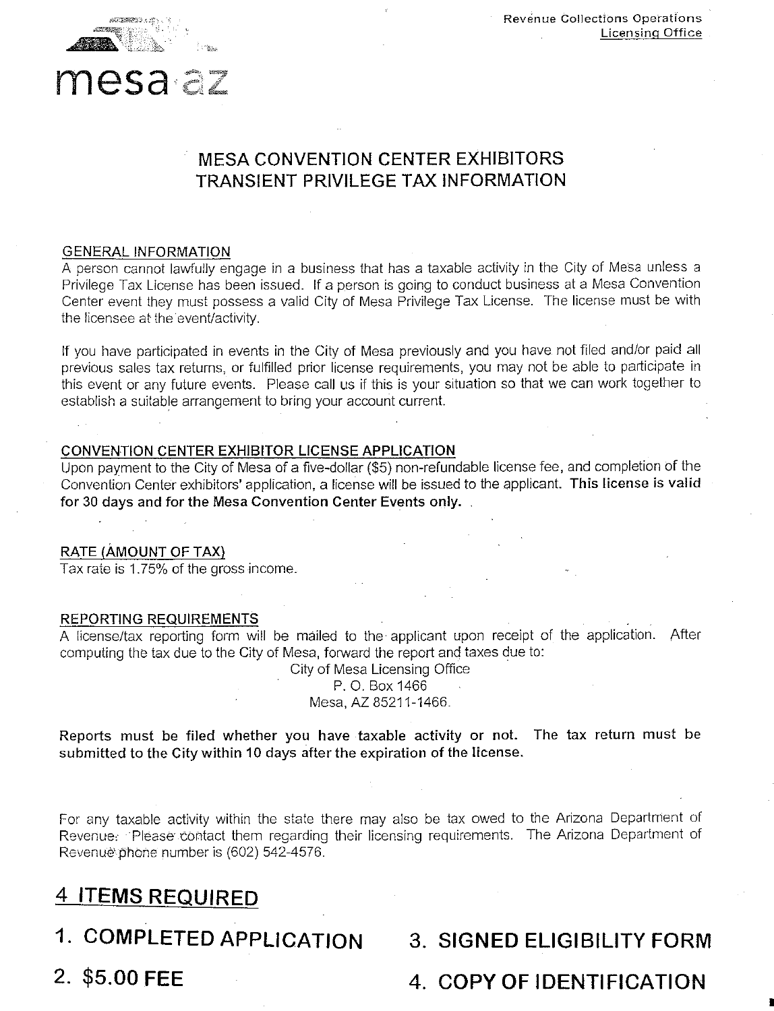



# mesa az

# **MESA CONVENTION CENTER EXHIBITORS** TRANSIENT PRIVILEGE TAX INFORMATION

#### **GENERAL INFORMATION**

A person cannot lawfully engage in a business that has a taxable activity in the City of Mesa unless a Privilege Tax License has been issued. If a person is going to conduct business at a Mesa Convention Center event they must possess a valid City of Mesa Privilege Tax License. The license must be with the licensee at the event/activity.

If you have participated in events in the City of Mesa previously and you have not filed and/or paid all previous sales tax returns, or fulfilled prior license requirements, you may not be able to participate in this event or any future events. Please call us if this is your situation so that we can work together to establish a suitable arrangement to bring your account current.

#### CONVENTION CENTER EXHIBITOR LICENSE APPLICATION

Upon payment to the City of Mesa of a five-dollar (\$5) non-refundable license fee, and completion of the Convention Center exhibitors' application, a license will be issued to the applicant. This license is valid for 30 days and for the Mesa Convention Center Events only.

#### RATE (AMOUNT OF TAX)

Tax rate is 1.75% of the gross income.

#### **REPORTING REQUIREMENTS**

A license/tax reporting form will be mailed to the applicant upon receipt of the application. After computing the tax due to the City of Mesa, forward the report and taxes due to:

> City of Mesa Licensing Office P. O. Box 1466 Mesa, AZ 85211-1466.

Reports must be filed whether you have taxable activity or not. The tax return must be submitted to the City within 10 days after the expiration of the license.

For any taxable activity within the state there may also be tax owed to the Arizona Department of Revenue. Please contact them regarding their licensing requirements. The Arizona Department of Revenue phone number is (602) 542-4576.

# 4 ITEMS REQUIRED

- 1. COMPLETED APPLICATION
- 2. \$5.00 FEE
- **3. SIGNED ELIGIBILITY FORM**
- 4. COPY OF IDENTIFICATION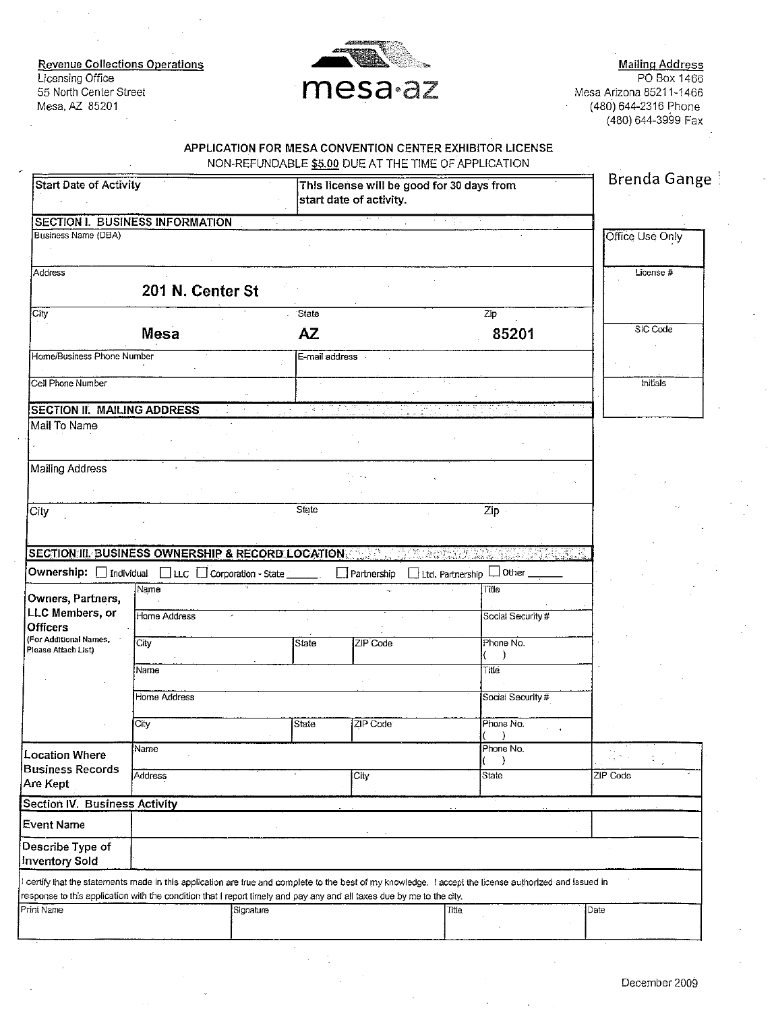**Revenue Collections Operations** Licensing Office 55 North Center Street Mesa, AZ 85201



Mailing Address<br>PO Box 1466 Mesa Arizona 85211-1466 (480) 644-2316 Phone  $(480)$  644-3999 Fax

#### APPLICATION FOR MESA CONVENTION CENTER EXHIBITOR LICENSE NON-REELINDARLE \$5 00 DUE AT THE TIME OF APPLICATION.

| Start Date of Activity                                                                  |                                                                |                                                                                                                                                                                                                                                                               | This license will be good for 30 days from<br>start date of activity. |                                      |                   |                 |  |  |  |  |  |  |
|-----------------------------------------------------------------------------------------|----------------------------------------------------------------|-------------------------------------------------------------------------------------------------------------------------------------------------------------------------------------------------------------------------------------------------------------------------------|-----------------------------------------------------------------------|--------------------------------------|-------------------|-----------------|--|--|--|--|--|--|
|                                                                                         | SECTION I. BUSINESS INFORMATION                                |                                                                                                                                                                                                                                                                               |                                                                       | 化学学家                                 |                   |                 |  |  |  |  |  |  |
| Business Name (DBA)                                                                     |                                                                |                                                                                                                                                                                                                                                                               |                                                                       |                                      |                   | Office Use Only |  |  |  |  |  |  |
| Address                                                                                 | 201 N. Center St                                               |                                                                                                                                                                                                                                                                               |                                                                       |                                      |                   | License #       |  |  |  |  |  |  |
| City                                                                                    |                                                                | State                                                                                                                                                                                                                                                                         |                                                                       | Zip                                  |                   |                 |  |  |  |  |  |  |
|                                                                                         | <b>Mesa</b>                                                    | <b>AZ</b>                                                                                                                                                                                                                                                                     |                                                                       |                                      | 85201             | SIC Code        |  |  |  |  |  |  |
| Home/Business Phone Number                                                              |                                                                | E-mail address                                                                                                                                                                                                                                                                |                                                                       |                                      |                   |                 |  |  |  |  |  |  |
| Cell Phone Number                                                                       |                                                                |                                                                                                                                                                                                                                                                               |                                                                       |                                      |                   | mitials         |  |  |  |  |  |  |
| <b>SECTION II. MAILING ADDRESS</b>                                                      |                                                                | $\mathcal{A} \rightarrow \mathcal{A}$                                                                                                                                                                                                                                         |                                                                       |                                      |                   |                 |  |  |  |  |  |  |
| Mail To Name                                                                            |                                                                |                                                                                                                                                                                                                                                                               |                                                                       |                                      |                   |                 |  |  |  |  |  |  |
| Mailing Address                                                                         |                                                                |                                                                                                                                                                                                                                                                               |                                                                       |                                      |                   |                 |  |  |  |  |  |  |
| City                                                                                    |                                                                | State                                                                                                                                                                                                                                                                         |                                                                       |                                      | Zip               |                 |  |  |  |  |  |  |
| Owners, Partners,                                                                       | Ownership: □ Individual □ LLC □ Corporation - State __<br>Name |                                                                                                                                                                                                                                                                               | $\Box$ Partnership                                                    | $\Box$ Ltd. Partnership $\Box$ Other | Title             |                 |  |  |  |  |  |  |
| LLC Members, or<br><b>Officers</b>                                                      | Home Address                                                   |                                                                                                                                                                                                                                                                               |                                                                       |                                      | Social Security#  |                 |  |  |  |  |  |  |
| (For Additional Names,<br>Please Attach List)                                           | City                                                           | State                                                                                                                                                                                                                                                                         | ZIP Code                                                              |                                      | Phone No.         |                 |  |  |  |  |  |  |
|                                                                                         | Name                                                           |                                                                                                                                                                                                                                                                               |                                                                       | Title                                |                   |                 |  |  |  |  |  |  |
|                                                                                         | Home Address                                                   |                                                                                                                                                                                                                                                                               |                                                                       |                                      | Social Security # |                 |  |  |  |  |  |  |
|                                                                                         | City                                                           | State                                                                                                                                                                                                                                                                         | ZIP Code                                                              |                                      | Phone No.         |                 |  |  |  |  |  |  |
| <b>Location Where</b>                                                                   | Name                                                           |                                                                                                                                                                                                                                                                               |                                                                       |                                      | Phone No.         |                 |  |  |  |  |  |  |
| <b>Business Records</b><br>Are Kept                                                     | Address                                                        |                                                                                                                                                                                                                                                                               | City                                                                  |                                      | State             | ZIP Code        |  |  |  |  |  |  |
|                                                                                         |                                                                |                                                                                                                                                                                                                                                                               |                                                                       |                                      |                   |                 |  |  |  |  |  |  |
|                                                                                         |                                                                |                                                                                                                                                                                                                                                                               |                                                                       |                                      |                   |                 |  |  |  |  |  |  |
|                                                                                         |                                                                |                                                                                                                                                                                                                                                                               |                                                                       |                                      |                   |                 |  |  |  |  |  |  |
| <b>Section IV. Business Activity</b><br>Event Name<br>Describe Type of<br>nventory Sold |                                                                |                                                                                                                                                                                                                                                                               |                                                                       |                                      |                   |                 |  |  |  |  |  |  |
|                                                                                         |                                                                | certify that the statements made in this application are true and complete to the best of my knowledge. I accept the license authorized and issued in<br>esponse to this application with the condition that I report timely and pay any and all taxes due by me to the city. |                                                                       |                                      |                   |                 |  |  |  |  |  |  |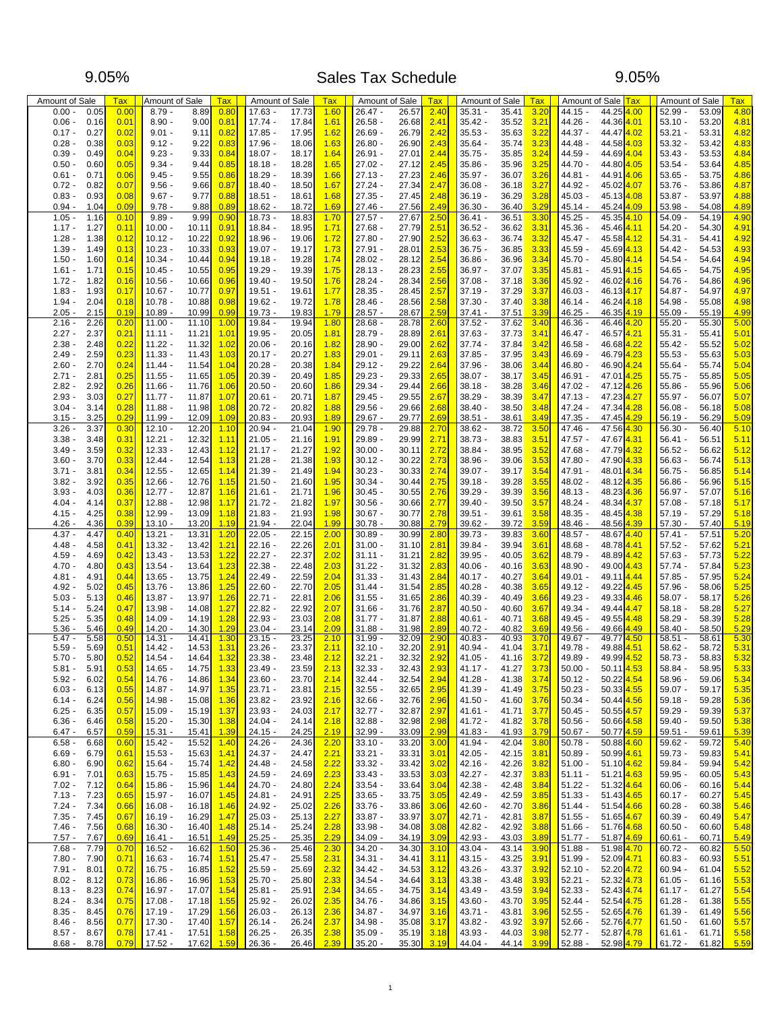#### Sales Tax Schedule 9.05% 9.05%

| Amount of Sale                       | Tax          | Amount of Sale                           | Tax          | Amount of Sale         |                | Tax          | Amount of Sale         |                      | <b>Tax</b>   | Amount of Sale                           | <b>Tax</b>   | Amount of Sale                | Tax                                 | Amount of Sale         |                | Tax          |
|--------------------------------------|--------------|------------------------------------------|--------------|------------------------|----------------|--------------|------------------------|----------------------|--------------|------------------------------------------|--------------|-------------------------------|-------------------------------------|------------------------|----------------|--------------|
| $0.00 -$<br>0.05                     | 0.00         | $8.79 -$<br>8.89                         | 0.80         | $17.63 -$              | 17.73          | 1.60         | $26.47 -$              | 26.57                | 2.40         | $35.31 -$<br>35.41                       | 3.20         | 44.15 -                       | 44.25<br>4.00                       | $52.99 -$              | 53.09          | 4.80         |
| $0.06 -$<br>0.16                     | 0.01         | $8.90 -$<br>9.00                         | 0.81         | $17.74 -$              | 17.84          | 1.61         | $26.58 -$              | 26.68                | 2.41         | $35.42 -$<br>35.52                       | 3.21         | 44.26 -                       | 44.36 4.01                          | $53.10 -$              | 53.20          | 4.81         |
| $0.17 -$<br>0.27                     | 0.02         | $9.01 -$<br>9.11                         | 0.82         | $17.85 -$              | 17.95          | 1.62         | $26.69 -$              | 26.79                | 2.42         | $35.53 -$<br>35.63                       | 3.22         | 44.37 -                       | 44.47 <sup>4.02</sup>               | $53.21 -$              | 53.31          | 4.82         |
| $0.28 -$<br>0.38                     | 0.03         | $9.12 -$<br>9.22                         | 0.83         | 17.96 -                | 18.06          | 1.63         | 26.80                  | 26.90                | 2.43         | $35.64 -$<br>35.74                       | 3.23         | 44.48 -<br>44.59 -            | 44.58 4.03                          | 53.32                  | 53.42          | 4.83         |
| $0.39 -$<br>0.49<br>$0.50 -$<br>0.60 | 0.04<br>0.05 | $9.23 -$<br>9.33<br>$9.34 -$<br>9.44     | 0.84<br>0.85 | $18.07 -$<br>$18.18 -$ | 18.17<br>18.28 | 1.64<br>1.65 | $26.91 -$<br>$27.02 -$ | 27.01<br>27.12       | 2.44<br>2.45 | $35.75 -$<br>35.85<br>35.96<br>$35.86 -$ | 3.24<br>3.25 | 44.70 -                       | 44.69 <sup>4.04</sup><br>44.80 4.05 | $53.43 -$<br>$53.54 -$ | 53.53<br>53.64 | 4.84<br>4.85 |
| $0.61 -$<br>0.71                     | 0.06         | $9.45 -$<br>9.55                         | 0.86         | $18.29 -$              | 18.39          | 1.66         | $27.13 -$              | 27.23                | 2.46         | $35.97 -$<br>36.07                       | 3.26         | 44.81 -                       | 44.91 <sup>4.06</sup>               | $53.65 -$              | 53.75          | 4.86         |
| $0.72 -$<br>0.82                     | 0.07         | $9.56 -$<br>9.66                         | 0.87         | $18.40 -$              | 18.50          | 1.67         | $27.24 -$              | 27.34                | 2.47         | $36.08 -$<br>36.18                       | 3.27         | 44.92 -                       | 45.02 4.07                          | $53.76 -$              | 53.86          | 4.87         |
| $0.83 -$<br>0.93                     | 0.08         | $9.67 -$<br>9.77                         | 0.88         | $18.51 -$              | 18.61          | 1.68         | $27.35 -$              | 27.45                | 2.48         | 36.29<br>$36.19 -$                       | 3.28         | $45.03 -$                     | 45.13 <sup>4.08</sup>               | $53.87 -$              | 53.97          | 4.88         |
| $0.94 -$<br>1.04                     | 0.09         | $9.78 -$<br>9.88                         | 0.89         | $18.62 -$              | 18.72          | 1.69         | $27.46 -$              | 27.56                | 2.49         | $36.30 -$<br>36.40                       | 3.29         | $45.14 -$                     | 45.24 4.09                          | $53.98 -$              | 54.08          | 4.89         |
| 1.05<br>1.16                         | 0.10         | 9.89<br>9.99                             | 0.90         | $18.73 -$              | 18.83          | 1.70         | $27.57 -$              | 27.67                | 2.50         | 36.51<br>$36.41 -$                       | 3.30         | $45.25 -$                     | 45.35 4.10                          | 54.09                  | 54.19          | 4.90         |
| 1.17.<br>1.27                        | 0.11         | $10.00 -$<br>10.11                       | 0.91         | $18.84 -$              | 18.95          | 1.71         | $27.68 -$              | 27.79                | 2.51         | $36.52 -$<br>36.62                       | 3.31         | 45.36 -                       | 45.46 4.11                          | 54.20                  | 54.30          | 4.91         |
| 1.28<br>1.38                         | 0.12         | $10.12 -$<br>10.22                       | 0.92         | $18.96 -$              | 19.06          | 1.72         | $27.80 -$              | 27.90                | 2.52         | $36.63 -$<br>36.74                       | 3.32         | 45.47 -                       | 45.58 4.12                          | $54.31 -$              | 54.41          | 4.92         |
| 1.39<br>1.49                         | 0.13         | $10.23 -$<br>10.33                       | 0.93         | $19.07 -$              | 19.17          | 1.73         | $27.91 -$              | 28.01                | 2.53         | $36.75 -$<br>36.85                       | 3.33         | 45.59 -                       | 45.69 4.13                          | $54.42 -$              | 54.53          | 4.93         |
| $1.50 -$<br>1.60                     | 0.14         | $10.34 -$<br>10.44                       | 0.94         | $19.18 -$              | 19.28          | 1.74         | $28.02 -$              | 28.12                | 2.54         | $36.86 -$<br>36.96                       | 3.34         | $45.70 -$                     | 45.80 4.14                          | $54.54 -$              | 54.64          | 4.94         |
| $1.61 -$<br>1.71                     | 0.15         | 10.55<br>$10.45 -$                       | 0.95         | $19.29 -$              | 19.39          | 1.75         | $28.13 -$              | 28.23                | 2.55         | 37.07<br>$36.97 -$                       | 3.35         | 45.81 -                       | 45.91 4.15                          | 54.65                  | 54.75          | 4.95         |
| $1.72 -$<br>1.82                     | 0.16         | 10.56<br>10.66                           | 0.96         | $19.40 -$              | 19.50          | 1.76         | $28.24 -$              | 28.34                | 2.56         | $37.08 -$<br>37.18                       | 3.36         | 45.92 -                       | 46.02 4.16                          | 54.76                  | 54.86          | 4.96         |
| 1.93<br>1.83                         | 0.17         | $10.67 -$<br>10.77                       | 0.97         | $19.51 -$              | 19.61          | 1.77         | 28.35 -                | 28.45                | 2.57         | $37.19 -$<br>37.29                       | 3.37         | $46.03 -$                     | 46.13 <sup>4.17</sup>               | $54.87 -$              | 54.97          | 4.97         |
| $1.94 -$<br>2.04                     | 0.18         | 10.88<br>$10.78 -$                       | 0.98         | $19.62 -$              | 19.72          | 1.78         | 28.46 -                | 28.56                | 2.58         | $37.30 -$<br>37.40                       | 3.38         | $46.14 -$                     | 46.24 <sup>4.18</sup>               | $54.98 -$              | 55.08          | 4.98         |
| $2.05 -$<br>2.15                     | 0.19         | 10.89<br>10.99                           | 0.99         | $19.73 -$              | 19.83          | 1.79         | $28.57 -$              | 28.67                | 2.59         | $37.41 -$<br>37.51                       | 3.39         | $46.25 -$                     | 46.35 4.19                          | 55.09                  | 55.19          | 4.99         |
| 2.16<br>2.26                         | 0.20         | $11.00 -$<br>11.10                       | 1.00         | $19.84 -$              | 19.94          | 1.80         | 28.68 -                | 28.78                | 2.60         | $37.52 -$<br>37.62                       | 3.40         | 46.36 -                       | 46.46 4.20                          | $55.20 -$              | 55.30          | 5.00         |
| $2.27 -$<br>2.37                     | 0.21         | $11.11 -$<br>11.21                       | 1.01         | 19.95                  | 20.05          | 1.81         | 28.79 -                | 28.89                | 2.61         | $37.63 -$<br>37.73                       | 3.41         | 46.47 -<br>46.57              | 4.21                                | $55.31 -$              | 55.41          | 5.01         |
| $2.38 -$<br>2.48                     | 0.22         | $11.22 -$<br>11.32                       | 1.02         | $20.06 -$              | 20.16          | 1.82         | 28.90 -                | 29.00                | 2.62         | 37.74 -<br>37.84                         | 3.42         | 46.58 -                       | 46.68 4.22                          | $55.42 -$              | 55.52          | 5.02         |
| 2.49<br>2.59                         | 0.23         | $11.33 -$<br>11.43                       | 1.03         | $20.17 -$              | 20.27          | 1.83         | $29.01 -$              | 29.11                | 2.63         | $37.85 -$<br>37.95                       | 3.43         | 46.69 -                       | 46.79 4.23                          | $55.53 -$              | 55.63          | 5.03         |
| $2.60 -$<br>2.70                     | 0.24         | $11.44 -$<br>11.54                       | 1.04         | $20.28 -$              | 20.38          | 1.84         | $29.12 -$              | 29.22                | 2.64         | $37.96 -$<br>38.06                       | 3.44         | $46.80 -$                     | 46.90 4.24                          | $55.64 -$              | 55.74          | 5.04         |
| $2.71 -$<br>2.81                     | 0.25         | $11.55 -$<br>11.65                       | 1.05         | $20.39 -$              | 20.49          | 1.85         | 29.23 -                | 29.33                | 2.65         | $38.07 -$<br>38.17                       | 3.45         | 46.91 -                       | 47.01 <sup>4.25</sup>               | $55.75 -$              | 55.85          | 5.05         |
| $2.82 -$<br>2.92                     | 0.26         | 11.76<br>$11.66 -$                       | 1.06         | $20.50 -$              | 20.60          | 1.86         | 29.34 -                | 29.44                | 2.66         | $38.18 -$<br>38.28                       | 3.46         | 47.02 -<br>47.12              | 4.26                                | $55.86 -$              | 55.96          | 5.06         |
| $2.93 -$<br>3.03                     | 0.27         | $11.77 -$<br>11.87                       | 1.07         | $20.61 -$              | 20.71          | 1.87         | $29.45 -$              | 29.55                | 2.67         | $38.29 -$<br>38.39                       | 3.47         | 47.13 -                       | 47.23 <sup>4.27</sup>               | $55.97 -$              | 56.07          | 5.07         |
| $3.04 -$<br>3.14                     | 0.28         | $11.88 -$<br>11.98                       | 1.08         | $20.72 -$              | 20.82          | 1.88         | $29.56 -$              | 29.66                | 2.68         | $38.40 -$<br>38.50                       | 3.48         | 47.24 -                       | 47.34 4.28                          | $56.08 -$              | 56.18          | 5.08         |
| $3.15 -$<br>3.25<br>3.37             | 0.29<br>0.30 | $11.99 -$<br>12.09                       | 1.09<br>1.10 | $20.83 -$<br>$20.94 -$ | 20.93<br>21.04 | 1.89<br>1.90 | $29.67 -$<br>29.78 -   | 29.77<br>29.88       | 2.69         | $38.51 -$<br>38.61<br>$38.62 -$<br>38.72 | 3.49<br>3.50 | 47.35 -<br>47.46 -            | 47.45 4.29<br>47.56 4.30            | $56.19 -$<br>$56.30 -$ | 56.29<br>56.40 | 5.09<br>5.10 |
| 3.26<br>3.38<br>3.48                 | 0.31         | $12.10 -$<br>12.20<br>$12.21 -$<br>12.32 | 1.11         | $21.05 -$              | 21.16          | 1.91         | 29.89 -                | 29.99                | 2.70<br>2.71 | $38.73 -$<br>38.83                       | 3.51         | 47.57 -                       | 47.67 4.31                          | $56.41 -$              | 56.51          | 5.11         |
| 3.49<br>3.59                         | 0.32         | $12.33 -$<br>12.43                       | 1.12         | $21.17 -$              | 21.27          | 1.92         | $30.00 -$              | 30.11                | 2.72         | 38.84 -<br>38.95                         | 3.52         | 47.68 -                       | 47.79 4.32                          | $56.52 -$              | 56.62          | 5.12         |
| 3.70<br>3.60                         | 0.33         | 12.54<br>$12.44 -$                       | 1.13         | $21.28 -$              | 21.38          | 1.93         | $30.12 -$              | 30.22                | 2.73         | $38.96 -$<br>39.06                       | 3.53         | 47.80 -                       | 47.90 4.33                          | $56.63 -$              | 56.74          | 5.13         |
| $3.71 -$<br>3.81                     | 0.34         | $12.55 -$<br>12.65                       | 1.14         | $21.39 -$              | 21.49          | 1.94         | $30.23 -$              | 30.33                | 2.74         | $39.07 -$<br>39.17                       | 3.54         | 47.91 -                       | 48.01 4.34                          | $56.75 -$              | 56.85          | 5.14         |
| $3.82 -$<br>3.92                     | 0.35         | $12.66 -$<br>12.76                       | 1.15         | $21.50 -$              | 21.60          | 1.95         | $30.34 -$              | 30.44                | 2.75         | $39.18 -$<br>39.28                       | 3.55         | 48.02 -                       | 48.12 <sup>4.35</sup>               | $56.86 -$              | 56.96          | 5.15         |
| $3.93 -$<br>4.03                     | 0.36         | $12.77 -$<br>12.87                       | 1.16         | $21.61 -$              | 21.71          | 1.96         | $30.45 -$              | 30.55                | 2.76         | $39.29 -$<br>39.39                       | 3.56         | $48.13 -$                     | 48.23 4.36                          | $56.97 -$              | 57.07          | 5.16         |
| 4.04<br>4.14                         | 0.37         | 12.88<br>12.98                           | 1.17         | $21.72 -$              | 21.82          | 1.97         | $30.56 -$              | 30.66                | 2.77         | $39.40 -$<br>39.50                       | 3.57         | 48.24 -                       | 48.34 4.37                          | 57.08                  | 57.18          | 5.17         |
| $4.15 -$<br>4.25                     | 0.38         | $12.99 -$<br>13.09                       | 1.18         | $21.83 -$              | 21.93          | 1.98         | $30.67 -$              | 30.77                | 2.78         | $39.51 -$<br>39.61                       | 3.58         | 48.35 -                       | 48.45 <sup>4.38</sup>               | $57.19 -$              | 57.29          | 5.18         |
| 4.26<br>4.36                         | 0.39         | 13.20<br>$13.10 -$                       | 1.19         | $21.94 -$              | 22.04          | 1.99         | $30.78 -$              | 30.88                | 2.79         | $39.62 -$<br>39.72                       | 3.59         | 48.46 -                       | 48.56<br>4.39                       | $57.30 -$              | 57.40          | 5.19         |
| 4.37.<br>4.47                        | 0.40         | 13.31<br>$13.21 -$                       | 1.20         | 22.05                  | 22.15          | 2.00         | $30.89 -$              | 30.99                | 2.80         | 39.83<br>39.73 -                         | 3.60         | 48.57 -                       | 48.67<br>4.40                       | $57.41 -$              | 57.51          | 5.20         |
| $4.48 -$<br>4.58                     | 0.41         | $13.32 -$<br>13.42                       | 1.21         | 22.16                  | 22.26          | 2.01         | $31.00 -$              | 31.10                | 2.81         | 39.84 -<br>39.94                         | 3.61         | 48.68 -                       | 48.78 4.41                          | $57.52 -$              | 57.62          | 5.21         |
| $4.59 -$<br>4.69                     | 0.42         | $13.43 -$<br>13.53                       | 1.22         | $22.27 -$              | 22.37          | 2.02         | $31.11 -$              | 31.21                | 2.82         | $39.95 -$<br>40.05                       | 3.62         | 48.79 -                       | 48.89 4.42                          | $57.63 -$              | 57.73          | 5.22         |
| 4.80<br>$4.70 -$                     | 0.43         | $13.54 -$<br>13.64                       | 1.23         | $22.38 -$              | 22.48          | 2.03         | $31.22 -$              | 31.32                | 2.83         | $40.06 -$<br>40.16                       | 3.63         | 48.90 -                       | 49.00 4.43                          | $57.74 -$              | 57.84          | 5.23         |
| 4.91<br>$4.81 -$                     | 0.44         | 13.75<br>$13.65 -$                       | 1.24         | $22.49 -$              | 22.59          | 2.04         | $31.33 -$              | 31.43                | 2.84         | $40.17 -$<br>40.27                       | 3.64         | 49.01 -                       | 49.11 <sup>4.44</sup>               | $57.85 -$              | 57.95          | 5.24         |
| $4.92 -$<br>5.02                     | 0.45         | 13.76<br>13.86                           | 1.25         | 22.60                  | 22.70          | 2.05         | $31.44 -$              | 31.54                | 2.85         | $40.28 -$<br>40.38                       | 3.65         | 49.12 -<br>49.22              | 4.45                                | 57.96                  | 58.06          | 5.25         |
| $5.03 -$<br>5.13                     | 0.46         | $13.87 -$<br>13.97                       | 1.26         | $22.71 -$              | 22.81          | 2.06         | $31.55 -$              | 31.65                | 2.86         | $40.39 -$<br>40.49                       | 3.66         | $49.23 -$                     | 49.33 <sup>4.46</sup>               | $58.07 -$              | 58.17          | 5.26         |
| $5.14 -$<br>5.24                     | 0.47         | $13.98 -$<br>14.08                       | 1.27         | $22.82 -$              | 22.92          | 2.07         | $31.66 -$              | 31.76                | 2.87         | $40.50 -$<br>40.60                       | 3.67         | 49.34 -                       | 49.44 4.47                          | $58.18 -$              | 58.28          | 5.27         |
| $5.25 -$<br>5.35                     | 0.48         | 14.19<br>14.09 -                         | 1.28         | $22.93 -$              | 23.03          | 2.08         | $31.77 -$              | 31.87                | 2.88         | 40.71<br>$40.61 -$                       | 3.68         | 49.45 -                       | 49.55 4.48                          | $58.29 -$              | 58.39          | 5.28         |
| 5.36<br>5.46                         | 0.49         | $14.20 -$<br>14.30                       | 1.29         | $23.04 -$              | 23.14          | 2.09         | $31.88 -$              | 31.98                | 2.89         | 40.82<br>$40.72 -$                       | 3.69         | $49.56 -$                     | 49.66 <sup>4.49</sup>               | $58.40 -$              | 58.50          | 5.29         |
| $5.47 -$<br>5.58<br>$5.59 -$<br>5.69 | 0.50<br>0.51 | 14.41<br>$14.31 -$<br>$14.42 -$<br>14.53 | 1.30<br>1.31 | $23.15 -$<br>23.26     | 23.25<br>23.37 | 2.10<br>2.11 | $31.99 -$<br>$32.10 -$ | 32.09<br>32.20       | 2.90<br>2.91 | 40.93<br>$40.83 -$<br>$40.94 -$<br>41.04 | 3.70<br>3.71 | $49.67 -$<br>49.77<br>49.78 - | 4.50<br>49.88 4.51                  | $58.51 -$<br>$58.62 -$ | 58.61<br>58.72 | 5.30<br>5.31 |
| $5.70 -$<br>5.80                     | 0.52         | $14.54 -$<br>14.64                       | 1.32         | $23.38 -$              | 23.48          | 2.12         | $32.21 -$              | 32.32                | 2.92         | $41.05 -$<br>41.16                       | 3.72         | 49.89 -                       | 49.99 4.52                          | $58.73 -$              | 58.83          | 5.32         |
| $5.81 -$<br>5.91                     | 0.53         | 14.65 -<br>14.75                         | <u> 1.33</u> | 23.49                  | 23.59          | <u>2.13</u>  | 32.33 -                | 32.43 <mark> </mark> | 2.93         | 41.17 -<br>41.27                         | <b>3.73</b>  | $50.00 -$                     | 50.11 <mark>4.53</mark>             | 58.84                  | 58.95          | 5.33         |
| $5.92 -$<br>6.02                     | 0.54         | $14.76 -$<br>14.86                       | 1.34         | 23.60                  | 23.70          | 2.14         | $32.44 -$              | 32.54                | 2.94         | $41.28 -$<br>41.38                       | 3.74         | $50.12 -$                     | 50.22 4.54                          | 58.96                  | 59.06          | 5.34         |
| $6.03 -$<br>6.13                     | 0.55         | $14.87 -$<br>14.97                       | 1.35         | $23.71 -$              | 23.81          | 2.15         | $32.55 -$              | 32.65                | 2.95         | 41.39 -<br>41.49                         | 3.75         | $50.23 -$                     | 50.33 4.55                          | $59.07 -$              | 59.17          | 5.35         |
| $6.14 -$<br>6.24                     | 0.56         | $14.98 -$<br>15.08                       | 1.36         | 23.82 -                | 23.92          | 2.16         | $32.66 -$              | 32.76                | 2.96         | $41.50 -$<br>41.60                       | 3.76         | $50.34 -$                     | 50.44 4.56                          | $59.18 -$              | 59.28          | 5.36         |
| $6.25 -$<br>6.35                     | 0.57         | $15.09 -$<br>15.19                       | 1.37         | $23.93 -$              | 24.03          | 2.17         | $32.77 -$              | 32.87                | 2.97         | $41.61 -$<br>41.71                       | 3.77         | $50.45 -$                     | 50.55 4.57                          | $59.29 -$              | 59.39          | 5.37         |
| $6.36 -$<br>6.46                     | 0.58         | $15.20 -$<br>15.30                       | 1.38         | $24.04 -$              | 24.14          | 2.18         | $32.88 -$              | 32.98                | 2.98         | 41.72 -<br>41.82                         | 3.78         | $50.56 -$                     | 50.66 4.58                          | $59.40 -$              | 59.50          | 5.38         |
| $6.47 -$<br>6.57                     | 0.59         | $15.31 -$<br>15.41                       | 1.39         | $24.15 -$              | 24.25          | 2.19         | 32.99 -                | 33.09                | 2.99         | $41.83 -$<br>41.93                       | 3.79         | $50.67 -$                     | 50.77 <sup>4.59</sup>               | $59.51 -$              | 59.61          | 5.39         |
| $6.58 -$<br>6.68                     | 0.60         | $15.42 -$<br>15.52                       | 1.40         | $24.26 -$              | 24.36          | 2.20         | $33.10 -$              | 33.20                | 3.00         | 41.94 -<br>42.04                         | 3.80         | $50.78 -$                     | 50.88 4.60                          | $59.62 -$              | 59.72          | 5.40         |
| $6.69 -$<br>6.79                     | 0.61         | $15.53 -$<br>15.63                       | 1.41         | $24.37 -$              | 24.47          | 2.21         | $33.21 -$              | 33.31                | 3.01         | $42.05 -$<br>42.15                       | 3.81         | $50.89 -$                     | 50.99 <sup>4.61</sup>               | $59.73 -$              | 59.83          | 5.41         |
| $6.80 -$<br>6.90                     | 0.62         | $15.64 -$<br>15.74                       | 1.42         | 24.48 -                | 24.58          | 2.22         | $33.32 -$              | 33.42                | 3.02         | $42.16 -$<br>42.26                       | 3.82         | $51.00 -$                     | 51.10 4.62                          | 59.84 -                | 59.94          | 5.42         |
| $6.91 -$<br>7.01                     | 0.63         | $15.75 -$<br>15.85                       | 1.43         | $24.59 -$              | 24.69          | 2.23         | $33.43 -$              | 33.53                | 3.03         | $42.27 -$<br>42.37                       | 3.83         | $51.11 -$                     | 51.21 4.63                          | $59.95 -$              | 60.05          | 5.43         |
| $7.02 -$<br>7.12                     | 0.64         | $15.86 -$<br>15.96                       | 1.44         | $24.70 -$              | 24.80          | 2.24         | $33.54 -$              | 33.64                | 3.04         | 42.38 -<br>42.48                         | 3.84         | $51.22 -$                     | 51.32 <sup>4.64</sup>               | $60.06 -$              | 60.16          | 5.44         |
| $7.13 -$<br>7.23                     | 0.65         | $15.97 -$<br>16.07                       | 1.45         | $24.81 -$              | 24.91          | 2.25         | $33.65 -$              | 33.75                | 3.05         | 42.49 -<br>42.59                         | 3.85         | $51.33 -$                     | 51.43 4.65                          | $60.17 -$              | 60.27          | 5.45         |
| $7.24 -$<br>7.34                     | 0.66         | $16.08 -$<br>16.18                       | 1.46         | 24.92 -                | 25.02          | 2.26         | $33.76 -$              | 33.86                | 3.06         | $42.60 -$<br>42.70                       | 3.86         | $51.44 -$                     | 51.54 4.66                          | $60.28 -$              | 60.38          | 5.46         |
| $7.35 -$<br>7.45                     | 0.67         | $16.19 -$<br>16.29                       | 1.47         | $25.03 -$              | 25.13          | 2.27         | $33.87 -$              | 33.97                | 3.07         | $42.71 -$<br>42.81                       | 3.87         | $51.55 -$                     | 51.65 4.67                          | $60.39 -$              | 60.49          | 5.47         |
| $7.46 -$<br>7.56                     | 0.68         | $16.30 -$<br>16.40                       | 1.48         | $25.14 -$              | 25.24          | 2.28         | $33.98 -$              | 34.08                | 3.08         | 42.82 -<br>42.92                         | 3.88         | $51.66 -$                     | 51.76 4.68                          | $60.50 -$              | 60.60          | 5.48         |
| $7.57 -$<br>7.67                     | 0.69         | $16.41 -$<br>16.51                       | 1.49         | $25.25 -$              | 25.35          | 2.29         | $34.09 -$              | 34.19 <mark> </mark> | 3.09         | 42.93 -<br>43.03                         | 3.89         | $51.77 -$                     | 51.87 <sup>4.69</sup>               | $60.61 -$              | 60.71          | 5.49         |
| $7.68 -$<br>7.79                     | 0.70         | $16.52 -$<br>16.62                       | 1.50         | $25.36 -$              | 25.46          | 2.30         | $34.20 -$              | 34.30                | 3.10         | $43.04 -$<br>43.14                       | 3.90         | $51.88 -$                     | 51.98 4.70                          | $60.72 -$              | 60.82          | 5.50         |
| 7.90<br>$7.80 -$                     | 0.71         | $16.63 -$<br>16.74                       | 1.51         | $25.47 -$              | 25.58          | 2.31         | $34.31 -$              | 34.41                | 3.11         | 43.25<br>$43.15 -$                       | 3.91         | $51.99 -$                     | 52.09 4.71                          | $60.83 -$              | 60.93          | 5.51         |
| $7.91 -$<br>8.01                     | 0.72         | $16.75 -$<br>16.85                       | 1.52         | $25.59 -$              | 25.69          | 2.32         | $34.42 -$              | 34.53                | 3.12         | $43.26 -$<br>43.37                       | 3.92         | $52.10 -$                     | 52.20 <sup>4.72</sup>               | $60.94 -$              | 61.04          | 5.52         |
| $8.02 -$<br>8.12                     | 0.73         | $16.86 -$<br>16.96                       | 1.53         | $25.70 -$              | 25.80          | 2.33         | $34.54 -$              | 34.64                | 3.13         | 43.38 -<br>43.48                         | 3.93         | $52.21 -$                     | 52.32 4.73                          | $61.05 -$              | 61.16          | 5.53         |
| $8.13 -$<br>8.23<br>$8.24 -$<br>8.34 | 0.74<br>0.75 | $16.97 -$<br>17.07<br>$17.08 -$          | 1.54<br>1.55 | $25.81 -$<br>$25.92 -$ | 25.91<br>26.02 | 2.34<br>2.35 | $34.65 -$<br>34.76 -   | 34.75<br>34.86       | 3.14<br>3.15 | 43.49 -<br>43.59<br>$43.60 -$<br>43.70   | 3.94<br>3.95 | $52.33 -$<br>$52.44 -$        | 52.43 4.74<br>52.54 4.75            | $61.17 -$<br>$61.28 -$ | 61.27<br>61.38 | 5.54         |
| $8.35 -$<br>8.45                     | 0.76         | 17.18<br>$17.19 -$<br>17.29              | 1.56         | $26.03 -$              | 26.13          | 2.36         | $34.87 -$              | 34.97                | 3.16         | 43.81                                    | 3.96         | $52.55 -$                     | 52.65 4.76                          |                        | 61.49          | 5.55<br>5.56 |
| $8.46 -$<br>8.56                     | 0.77         | $17.30 -$<br>17.40                       | 1.57         | $26.14 -$              | 26.24          | 2.37         | 34.98 -                | 35.08                | 3.17         | 43.71 -<br>43.92<br>43.82 -              | 3.97         | $52.66 -$                     | 52.76 4.77                          | $61.39 -$<br>$61.50 -$ | 61.60          | 5.57         |
| $8.57 -$<br>8.67                     | 0.78         | $17.41 -$<br>17.51                       | 1.58         | $26.25 -$              | 26.35          | 2.38         | $35.09 -$              | 35.19                | 3.18         | 43.93 -<br>44.03                         | 3.98         | $52.77 -$                     | 52.87 4.78                          | $61.61 -$              | 61.71          | 5.58         |
| $8.68 -$<br>8.78                     | 0.79         | $17.52 -$<br>17.62                       | 1.59         | $26.36 -$              | 26.46          | 2.39         | $35.20 -$              | 35.30                | 3.19         | 44.14<br>44.04 -                         | 3.99         | $52.88 -$                     | 52.98 4.79                          | $61.72 -$              | 61.82          | 5.59         |
|                                      |              |                                          |              |                        |                |              |                        |                      |              |                                          |              |                               |                                     |                        |                |              |